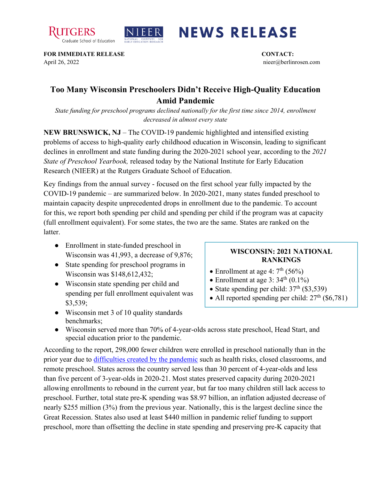



## **NEWS RELEASE**

**FOR IMMEDIATE RELEASE CONTACT:**  April 26, 2022 nieer@berlinrosen.com

## **Too Many Wisconsin Preschoolers Didn't Receive High-Quality Education Amid Pandemic**

*State funding for preschool programs declined nationally for the first time since 2014, enrollment decreased in almost every state*

**NEW BRUNSWICK, NJ** – The COVID-19 pandemic highlighted and intensified existing problems of access to high-quality early childhood education in Wisconsin, leading to significant declines in enrollment and state funding during the 2020-2021 school year, according to the *2021 State of Preschool Yearbook,* released today by the National Institute for Early Education Research (NIEER) at the Rutgers Graduate School of Education.

Key findings from the annual survey - focused on the first school year fully impacted by the COVID-19 pandemic – are summarized below. In 2020-2021, many states funded preschool to maintain capacity despite unprecedented drops in enrollment due to the pandemic. To account for this, we report both spending per child and spending per child if the program was at capacity (full enrollment equivalent). For some states, the two are the same. States are ranked on the latter.

- Enrollment in state-funded preschool in Wisconsin was 41,993, a decrease of 9,876;
- State spending for preschool programs in Wisconsin was \$148,612,432;
- Wisconsin state spending per child and spending per full enrollment equivalent was \$3,539;
- Wisconsin met 3 of 10 quality standards benchmarks;

## **WISCONSIN: 2021 NATIONAL RANKINGS**

- Enrollment at age 4:  $7<sup>th</sup>$  (56%)
- Enrollment at age 3:  $34<sup>th</sup>$  (0.1%)
- State spending per child:  $37<sup>th</sup>$  (\$3,539)
- All reported spending per child:  $27<sup>th</sup>$  (\$6,781)
- Wisconsin served more than 70% of 4-year-olds across state preschool, Head Start, and special education prior to the pandemic.

According to the report, 298,000 fewer children were enrolled in preschool nationally than in the prior year due to [difficulties created by the pandemic](https://nieer.org/wp-content/uploads/2021/02/NIEER_Seven_Impacts_of_the_Pandemic_on_Young_Children_and_their_Parents.pdf) such as health risks, closed classrooms, and remote preschool. States across the country served less than 30 percent of 4-year-olds and less than five percent of 3-year-olds in 2020-21. Most states preserved capacity during 2020-2021 allowing enrollments to rebound in the current year, but far too many children still lack access to preschool. Further, total state pre-K spending was \$8.97 billion, an inflation adjusted decrease of nearly \$255 million (3%) from the previous year. Nationally, this is the largest decline since the Great Recession. States also used at least \$440 million in pandemic relief funding to support preschool, more than offsetting the decline in state spending and preserving pre-K capacity that